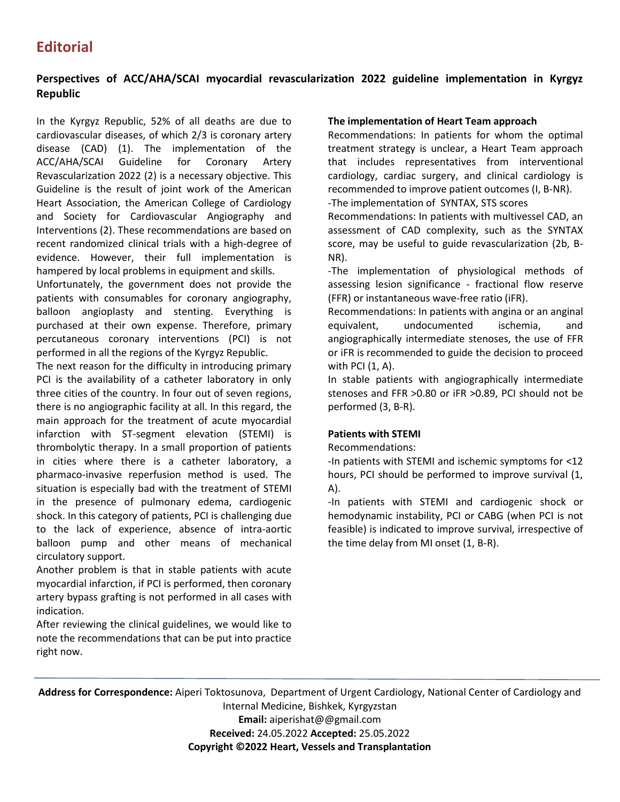# **Perspectives of ACC/AHA/SCAI myocardial revascularization 2022 guideline implementation in Kyrgyz Republic**

In the Kyrgyz Republic, 52% of all deaths are due to cardiovascular diseases, of which 2/3 is coronary artery disease (CAD) (1). The implementation of the ACC/AHA/SCAI Guideline for Coronary Artery Revascularization 2022 (2) is a necessary objective. This Guideline is the result of joint work of the American Heart Association, the American College of Cardiology and Society for Cardiovascular Angiography and Interventions (2). These recommendations are based on recent randomized clinical trials with a high-degree of evidence. However, their full implementation is hampered by local problems in equipment and skills.

Unfortunately, the government does not provide the patients with consumables for coronary angiography, balloon angioplasty and stenting. Everything is purchased at their own expense. Therefore, primary percutaneous coronary interventions (PCI) is not performed in all the regions of the Kyrgyz Republic.

The next reason for the difficulty in introducing primary PCI is the availability of a catheter laboratory in only three cities of the country. In four out of seven regions, there is no angiographic facility at all. In this regard, the main approach for the treatment of acute myocardial infarction with ST-segment elevation (STEMI) is thrombolytic therapy. In a small proportion of patients in cities where there is a catheter laboratory, a pharmaco-invasive reperfusion method is used. The situation is especially bad with the treatment of STEMI in the presence of pulmonary edema, cardiogenic shock. In this category of patients, PCI is challenging due to the lack of experience, absence of intra-aortic balloon pump and other means of mechanical circulatory support.

Another problem is that in stable patients with acute myocardial infarction, if PCI is performed, then coronary artery bypass grafting is not performed in all cases with indication.

After reviewing the clinical guidelines, we would like to note the recommendations that can be put into practice right now.

## **The implementation of Heart Team approach**

Recommendations: In patients for whom the optimal treatment strategy is unclear, a Heart Team approach that includes representatives from interventional cardiology, cardiac surgery, and clinical cardiology is recommended to improve patient outcomes (I, B-NR).

-The implementation of SYNTAX, STS scores

Recommendations: In patients with multivessel CAD, an assessment of CAD complexity, such as the SYNTAX score, may be useful to guide revascularization (2b, B-NR).

-The implementation of physiological methods of assessing lesion significance - fractional flow reserve (FFR) or instantaneous wave-free ratio (iFR).

Recommendations: In patients with angina or an anginal equivalent, undocumented ischemia, and angiographically intermediate stenoses, the use of FFR or iFR is recommended to guide the decision to proceed with PCI (1, A).

In stable patients with angiographically intermediate stenoses and FFR >0.80 or iFR >0.89, PCI should not be performed (3, B-R).

## **Patients with STEMI**

Recommendations:

-In patients with STEMI and ischemic symptoms for <12 hours, PCI should be performed to improve survival (1, A).

-In patients with STEMI and cardiogenic shock or hemodynamic instability, PCI or CABG (when PCI is not feasible) is indicated to improve survival, irrespective of the time delay from MI onset (1, B-R).

**Address for Correspondence:** Aiperi Toktosunova, Department of Urgent Cardiology, National Center of Cardiology and Internal Medicine, Bishkek, Kyrgyzstan **Email:** aiperishat@@gmail.com **Received:** 24.05.2022 **Accepted:** 25.05.2022

**Copyright ©2022 Heart, Vessels and Transplantation**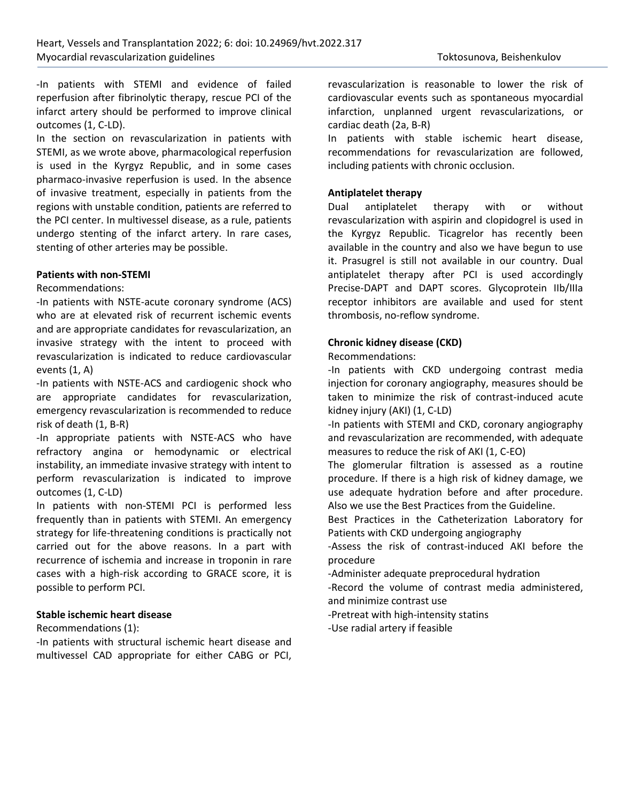-In patients with STEMI and evidence of failed reperfusion after fibrinolytic therapy, rescue PCI of the infarct artery should be performed to improve clinical outcomes (1, C-LD).

In the section on revascularization in patients with STEMI, as we wrote above, pharmacological reperfusion is used in the Kyrgyz Republic, and in some cases pharmaco-invasive reperfusion is used. In the absence of invasive treatment, especially in patients from the regions with unstable condition, patients are referred to the PCI center. In multivessel disease, as a rule, patients undergo stenting of the infarct artery. In rare cases, stenting of other arteries may be possible.

#### **Patients with non-STEMI**

Recommendations:

-In patients with NSTE-acute coronary syndrome (ACS) who are at elevated risk of recurrent ischemic events and are appropriate candidates for revascularization, an invasive strategy with the intent to proceed with revascularization is indicated to reduce cardiovascular events (1, A)

-In patients with NSTE-ACS and cardiogenic shock who are appropriate candidates for revascularization, emergency revascularization is recommended to reduce risk of death (1, B-R)

-In appropriate patients with NSTE-ACS who have refractory angina or hemodynamic or electrical instability, an immediate invasive strategy with intent to perform revascularization is indicated to improve outcomes (1, C-LD)

In patients with non-STEMI PCI is performed less frequently than in patients with STEMI. An emergency strategy for life-threatening conditions is practically not carried out for the above reasons. In a part with recurrence of ischemia and increase in troponin in rare cases with a high-risk according to GRACE score, it is possible to perform PCI.

## **Stable ischemic heart disease**

Recommendations (1):

-In patients with structural ischemic heart disease and multivessel CAD appropriate for either CABG or PCI,

revascularization is reasonable to lower the risk of cardiovascular events such as spontaneous myocardial infarction, unplanned urgent revascularizations, or cardiac death (2a, B-R)

In patients with stable ischemic heart disease, recommendations for revascularization are followed, including patients with chronic occlusion.

#### **Antiplatelet therapy**

Dual antiplatelet therapy with or without revascularization with aspirin and clopidogrel is used in the Kyrgyz Republic. Ticagrelor has recently been available in the country and also we have begun to use it. Prasugrel is still not available in our country. Dual antiplatelet therapy after PCI is used accordingly Precise-DAPT and DAPT scores. Glycoprotein IIb/IIIa receptor inhibitors are available and used for stent thrombosis, no-reflow syndrome.

#### **Chronic kidney disease (CKD)**

Recommendations:

-In patients with CKD undergoing contrast media injection for coronary angiography, measures should be taken to minimize the risk of contrast-induced acute kidney injury (AKI) (1, C-LD)

-In patients with STEMI and CKD, coronary angiography and revascularization are recommended, with adequate measures to reduce the risk of AKI (1, C-EO)

The glomerular filtration is assessed as a routine procedure. If there is a high risk of kidney damage, we use adequate hydration before and after procedure. Also we use the Best Practices from the Guideline.

Best Practices in the Catheterization Laboratory for Patients with CKD undergoing angiography

-Assess the risk of contrast-induced AKI before the procedure

-Administer adequate preprocedural hydration

-Record the volume of contrast media administered, and minimize contrast use

-Pretreat with high-intensity statins

-Use radial artery if feasible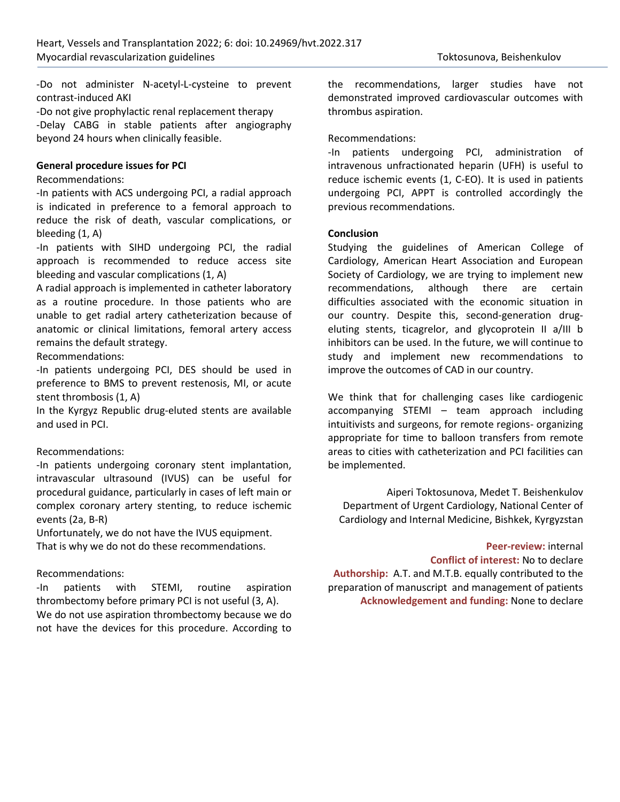-Do not administer N-acetyl-L-cysteine to prevent contrast-induced AKI

-Do not give prophylactic renal replacement therapy -Delay CABG in stable patients after angiography beyond 24 hours when clinically feasible.

#### **General procedure issues for PCI**

#### Recommendations:

-In patients with ACS undergoing PCI, a radial approach is indicated in preference to a femoral approach to reduce the risk of death, vascular complications, or bleeding (1, A)

-In patients with SIHD undergoing PCI, the radial approach is recommended to reduce access site bleeding and vascular complications (1, A)

A radial approach is implemented in catheter laboratory as a routine procedure. In those patients who are unable to get radial artery catheterization because of anatomic or clinical limitations, femoral artery access remains the default strategy.

Recommendations:

-In patients undergoing PCI, DES should be used in preference to BMS to prevent restenosis, MI, or acute stent thrombosis (1, A)

In the Kyrgyz Republic drug-eluted stents are available and used in PCI.

## Recommendations:

-In patients undergoing coronary stent implantation, intravascular ultrasound (IVUS) can be useful for procedural guidance, particularly in cases of left main or complex coronary artery stenting, to reduce ischemic events (2a, B-R)

Unfortunately, we do not have the IVUS equipment. That is why we do not do these recommendations.

## Recommendations:

-In patients with STEMI, routine aspiration thrombectomy before primary PCI is not useful (3, A). We do not use aspiration thrombectomy because we do not have the devices for this procedure. According to

the recommendations, larger studies have not demonstrated improved cardiovascular outcomes with thrombus aspiration.

## Recommendations:

-In patients undergoing PCI, administration of intravenous unfractionated heparin (UFH) is useful to reduce ischemic events (1, C-EO). It is used in patients undergoing PCI, APPT is controlled accordingly the previous recommendations.

#### **Conclusion**

Studying the guidelines of American College of Cardiology, American Heart Association and European Society of Cardiology, we are trying to implement new recommendations, although there are certain difficulties associated with the economic situation in our country. Despite this, second-generation drugeluting stents, ticagrelor, and glycoprotein II a/III b inhibitors can be used. In the future, we will continue to study and implement new recommendations to improve the outcomes of CAD in our country.

We think that for challenging cases like cardiogenic accompanying STEMI – team approach including intuitivists and surgeons, for remote regions- organizing appropriate for time to balloon transfers from remote areas to cities with catheterization and PCI facilities can be implemented.

Aiperi Toktosunova, Medet T. Beishenkulov Department of Urgent Cardiology, National Center of Cardiology and Internal Medicine, Bishkek, Kyrgyzstan

#### **Peer-review:** internal

**Conflict of interest:** No to declare

**Authorship:** A.T. and M.T.B. equally contributed to the preparation of manuscript and management of patients **Acknowledgement and funding:** None to declare